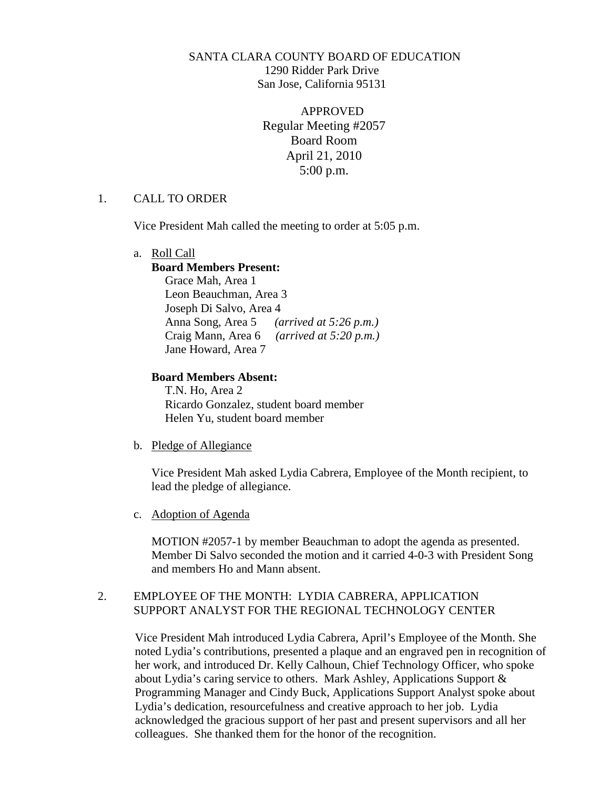# SANTA CLARA COUNTY BOARD OF EDUCATION 1290 Ridder Park Drive San Jose, California 95131

APPROVED Regular Meeting #2057 Board Room April 21, 2010 5:00 p.m.

### 1. CALL TO ORDER

Vice President Mah called the meeting to order at 5:05 p.m.

a. Roll Call

### **Board Members Present:**

Grace Mah, Area 1 Leon Beauchman, Area 3 Joseph Di Salvo, Area 4 Anna Song, Area 5 *(arrived at 5:26 p.m.)* Craig Mann, Area 6 *(arrived at 5:20 p.m.)* Jane Howard, Area 7

## **Board Members Absent:**

T.N. Ho, Area 2 Ricardo Gonzalez, student board member Helen Yu, student board member

b. Pledge of Allegiance

Vice President Mah asked Lydia Cabrera, Employee of the Month recipient, to lead the pledge of allegiance.

c. Adoption of Agenda

MOTION #2057-1 by member Beauchman to adopt the agenda as presented. Member Di Salvo seconded the motion and it carried 4-0-3 with President Song and members Ho and Mann absent.

# 2. EMPLOYEE OF THE MONTH: LYDIA CABRERA, APPLICATION SUPPORT ANALYST FOR THE REGIONAL TECHNOLOGY CENTER

Vice President Mah introduced Lydia Cabrera, April's Employee of the Month. She noted Lydia's contributions, presented a plaque and an engraved pen in recognition of her work, and introduced Dr. Kelly Calhoun, Chief Technology Officer, who spoke about Lydia's caring service to others. Mark Ashley, Applications Support & Programming Manager and Cindy Buck, Applications Support Analyst spoke about Lydia's dedication, resourcefulness and creative approach to her job. Lydia acknowledged the gracious support of her past and present supervisors and all her colleagues. She thanked them for the honor of the recognition.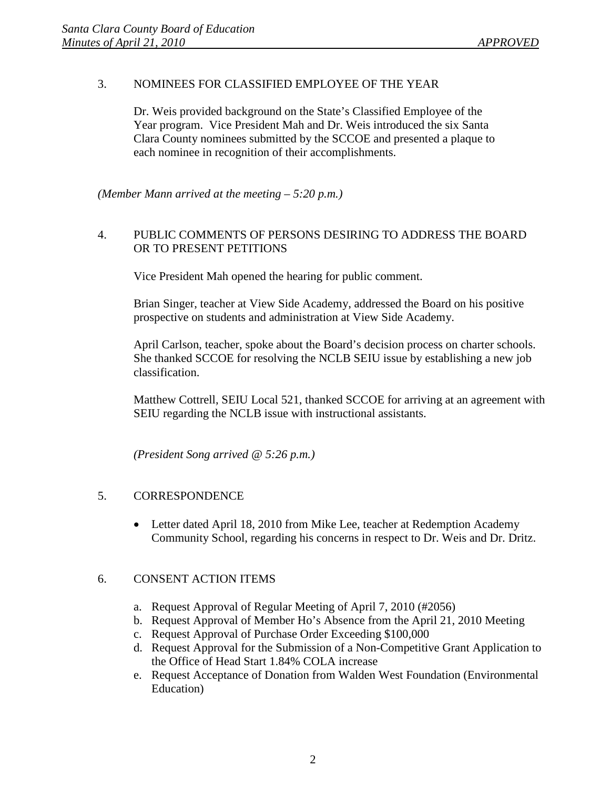# 3. NOMINEES FOR CLASSIFIED EMPLOYEE OF THE YEAR

Dr. Weis provided background on the State's Classified Employee of the Year program. Vice President Mah and Dr. Weis introduced the six Santa Clara County nominees submitted by the SCCOE and presented a plaque to each nominee in recognition of their accomplishments.

*(Member Mann arrived at the meeting – 5:20 p.m.)*

# 4. PUBLIC COMMENTS OF PERSONS DESIRING TO ADDRESS THE BOARD OR TO PRESENT PETITIONS

Vice President Mah opened the hearing for public comment.

Brian Singer, teacher at View Side Academy, addressed the Board on his positive prospective on students and administration at View Side Academy.

April Carlson, teacher, spoke about the Board's decision process on charter schools. She thanked SCCOE for resolving the NCLB SEIU issue by establishing a new job classification.

Matthew Cottrell, SEIU Local 521, thanked SCCOE for arriving at an agreement with SEIU regarding the NCLB issue with instructional assistants.

*(President Song arrived @ 5:26 p.m.)*

### 5. CORRESPONDENCE

• Letter dated April 18, 2010 from Mike Lee, teacher at Redemption Academy Community School, regarding his concerns in respect to Dr. Weis and Dr. Dritz.

### 6. CONSENT ACTION ITEMS

- a. Request Approval of Regular Meeting of April 7, 2010 (#2056)
- b. Request Approval of Member Ho's Absence from the April 21, 2010 Meeting
- c. Request Approval of Purchase Order Exceeding \$100,000
- d. Request Approval for the Submission of a Non-Competitive Grant Application to the Office of Head Start 1.84% COLA increase
- e. Request Acceptance of Donation from Walden West Foundation (Environmental Education)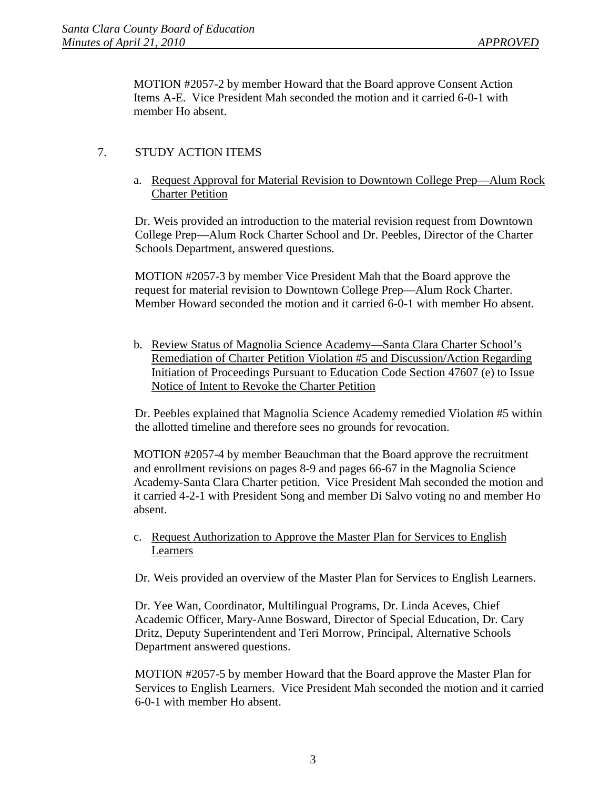MOTION #2057-2 by member Howard that the Board approve Consent Action Items A-E. Vice President Mah seconded the motion and it carried 6-0-1 with member Ho absent.

# 7. STUDY ACTION ITEMS

a. Request Approval for Material Revision to Downtown College Prep—Alum Rock Charter Petition

Dr. Weis provided an introduction to the material revision request from Downtown College Prep—Alum Rock Charter School and Dr. Peebles, Director of the Charter Schools Department, answered questions.

MOTION #2057-3 by member Vice President Mah that the Board approve the request for material revision to Downtown College Prep—Alum Rock Charter. Member Howard seconded the motion and it carried 6-0-1 with member Ho absent.

b. Review Status of Magnolia Science Academy—Santa Clara Charter School's Remediation of Charter Petition Violation #5 and Discussion/Action Regarding Initiation of Proceedings Pursuant to Education Code Section 47607 (e) to Issue Notice of Intent to Revoke the Charter Petition

Dr. Peebles explained that Magnolia Science Academy remedied Violation #5 within the allotted timeline and therefore sees no grounds for revocation.

MOTION #2057-4 by member Beauchman that the Board approve the recruitment and enrollment revisions on pages 8-9 and pages 66-67 in the Magnolia Science Academy-Santa Clara Charter petition. Vice President Mah seconded the motion and it carried 4-2-1 with President Song and member Di Salvo voting no and member Ho absent.

c. Request Authorization to Approve the Master Plan for Services to English Learners

Dr. Weis provided an overview of the Master Plan for Services to English Learners.

Dr. Yee Wan, Coordinator, Multilingual Programs, Dr. Linda Aceves, Chief Academic Officer, Mary-Anne Bosward, Director of Special Education, Dr. Cary Dritz, Deputy Superintendent and Teri Morrow, Principal, Alternative Schools Department answered questions.

MOTION #2057-5 by member Howard that the Board approve the Master Plan for Services to English Learners. Vice President Mah seconded the motion and it carried 6-0-1 with member Ho absent.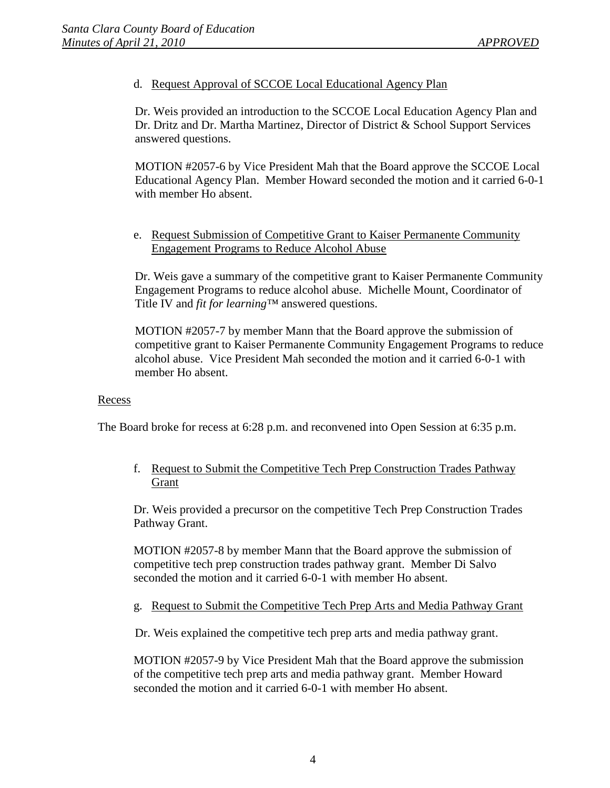d. Request Approval of SCCOE Local Educational Agency Plan

Dr. Weis provided an introduction to the SCCOE Local Education Agency Plan and Dr. Dritz and Dr. Martha Martinez, Director of District & School Support Services answered questions.

MOTION #2057-6 by Vice President Mah that the Board approve the SCCOE Local Educational Agency Plan. Member Howard seconded the motion and it carried 6-0-1 with member Ho absent.

e. Request Submission of Competitive Grant to Kaiser Permanente Community Engagement Programs to Reduce Alcohol Abuse

Dr. Weis gave a summary of the competitive grant to Kaiser Permanente Community Engagement Programs to reduce alcohol abuse. Michelle Mount, Coordinator of Title IV and *fit for learning™* answered questions.

MOTION #2057-7 by member Mann that the Board approve the submission of competitive grant to Kaiser Permanente Community Engagement Programs to reduce alcohol abuse. Vice President Mah seconded the motion and it carried 6-0-1 with member Ho absent.

#### Recess

The Board broke for recess at 6:28 p.m. and reconvened into Open Session at 6:35 p.m.

f. Request to Submit the Competitive Tech Prep Construction Trades Pathway Grant

Dr. Weis provided a precursor on the competitive Tech Prep Construction Trades Pathway Grant.

MOTION #2057-8 by member Mann that the Board approve the submission of competitive tech prep construction trades pathway grant. Member Di Salvo seconded the motion and it carried 6-0-1 with member Ho absent.

g. Request to Submit the Competitive Tech Prep Arts and Media Pathway Grant

Dr. Weis explained the competitive tech prep arts and media pathway grant.

MOTION #2057-9 by Vice President Mah that the Board approve the submission of the competitive tech prep arts and media pathway grant. Member Howard seconded the motion and it carried 6-0-1 with member Ho absent.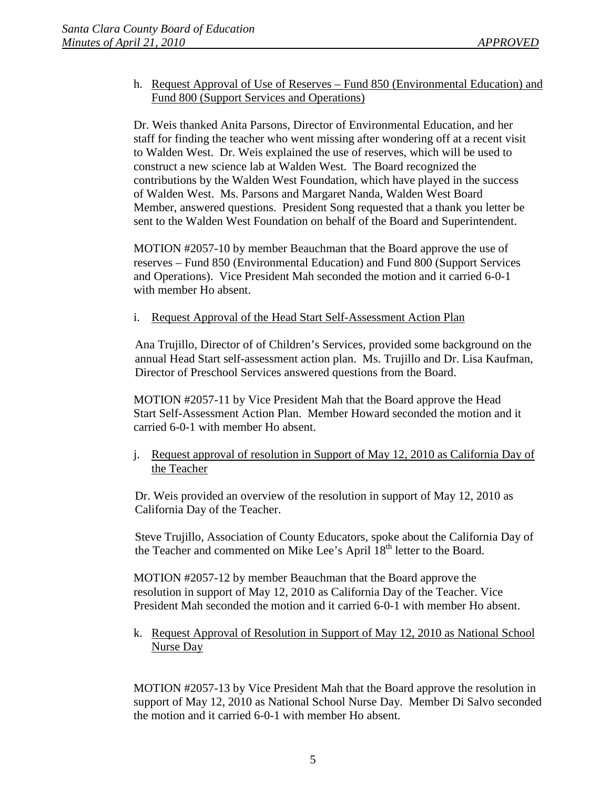## h. Request Approval of Use of Reserves – Fund 850 (Environmental Education) and Fund 800 (Support Services and Operations)

Dr. Weis thanked Anita Parsons, Director of Environmental Education, and her staff for finding the teacher who went missing after wondering off at a recent visit to Walden West. Dr. Weis explained the use of reserves, which will be used to construct a new science lab at Walden West. The Board recognized the contributions by the Walden West Foundation, which have played in the success of Walden West. Ms. Parsons and Margaret Nanda, Walden West Board Member, answered questions. President Song requested that a thank you letter be sent to the Walden West Foundation on behalf of the Board and Superintendent.

MOTION #2057-10 by member Beauchman that the Board approve the use of reserves – Fund 850 (Environmental Education) and Fund 800 (Support Services and Operations). Vice President Mah seconded the motion and it carried 6-0-1 with member Ho absent.

i. Request Approval of the Head Start Self-Assessment Action Plan

Ana Trujillo, Director of of Children's Services, provided some background on the annual Head Start self-assessment action plan. Ms. Trujillo and Dr. Lisa Kaufman, Director of Preschool Services answered questions from the Board.

MOTION #2057-11 by Vice President Mah that the Board approve the Head Start Self-Assessment Action Plan. Member Howard seconded the motion and it carried 6-0-1 with member Ho absent.

j. Request approval of resolution in Support of May 12, 2010 as California Day of the Teacher

Dr. Weis provided an overview of the resolution in support of May 12, 2010 as California Day of the Teacher.

Steve Trujillo, Association of County Educators, spoke about the California Day of the Teacher and commented on Mike Lee's April 18th letter to the Board.

MOTION #2057-12 by member Beauchman that the Board approve the resolution in support of May 12, 2010 as California Day of the Teacher. Vice President Mah seconded the motion and it carried 6-0-1 with member Ho absent.

k. Request Approval of Resolution in Support of May 12, 2010 as National School Nurse Day

MOTION #2057-13 by Vice President Mah that the Board approve the resolution in support of May 12, 2010 as National School Nurse Day. Member Di Salvo seconded the motion and it carried 6-0-1 with member Ho absent.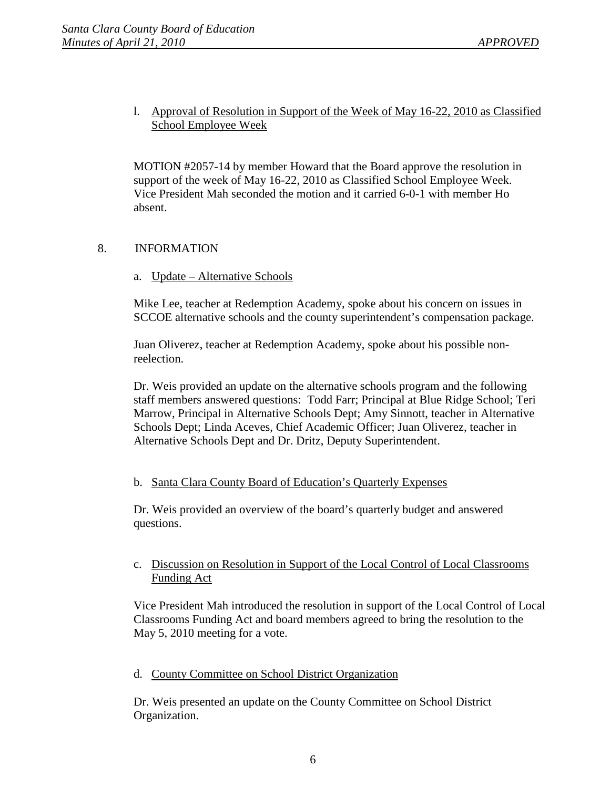# l. Approval of Resolution in Support of the Week of May 16-22, 2010 as Classified School Employee Week

MOTION #2057-14 by member Howard that the Board approve the resolution in support of the week of May 16-22, 2010 as Classified School Employee Week. Vice President Mah seconded the motion and it carried 6-0-1 with member Ho absent.

## 8. INFORMATION

a. Update – Alternative Schools

Mike Lee, teacher at Redemption Academy, spoke about his concern on issues in SCCOE alternative schools and the county superintendent's compensation package.

Juan Oliverez, teacher at Redemption Academy, spoke about his possible nonreelection.

Dr. Weis provided an update on the alternative schools program and the following staff members answered questions: Todd Farr; Principal at Blue Ridge School; Teri Marrow, Principal in Alternative Schools Dept; Amy Sinnott, teacher in Alternative Schools Dept; Linda Aceves, Chief Academic Officer; Juan Oliverez, teacher in Alternative Schools Dept and Dr. Dritz, Deputy Superintendent.

### b. Santa Clara County Board of Education's Quarterly Expenses

Dr. Weis provided an overview of the board's quarterly budget and answered questions.

## c. Discussion on Resolution in Support of the Local Control of Local Classrooms Funding Act

Vice President Mah introduced the resolution in support of the Local Control of Local Classrooms Funding Act and board members agreed to bring the resolution to the May 5, 2010 meeting for a vote.

#### d. County Committee on School District Organization

Dr. Weis presented an update on the County Committee on School District Organization.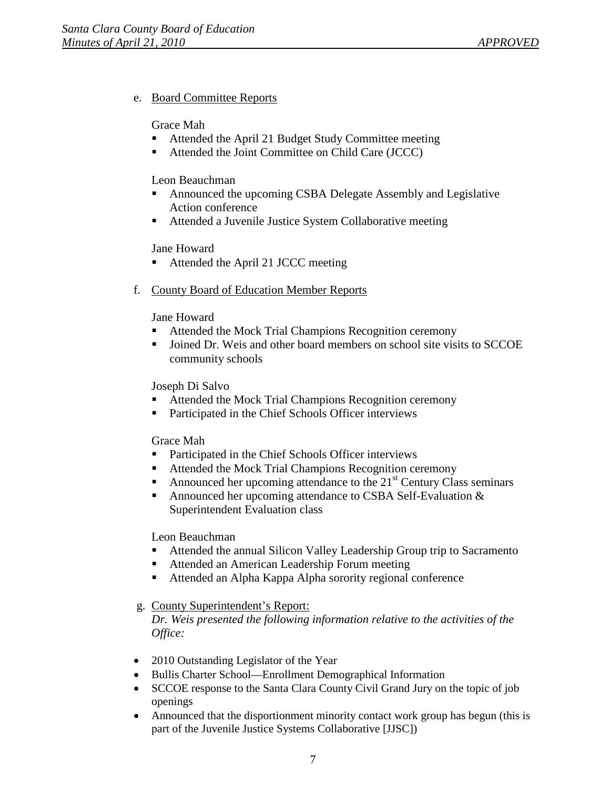## e. Board Committee Reports

#### Grace Mah

- Attended the April 21 Budget Study Committee meeting
- Attended the Joint Committee on Child Care (JCCC)

#### Leon Beauchman

- Announced the upcoming CSBA Delegate Assembly and Legislative Action conference
- Attended a Juvenile Justice System Collaborative meeting

### Jane Howard

- Attended the April 21 JCCC meeting
- f. County Board of Education Member Reports

### Jane Howard

- Attended the Mock Trial Champions Recognition ceremony
- **Joined Dr. Weis and other board members on school site visits to SCCOE** community schools

### Joseph Di Salvo

- Attended the Mock Trial Champions Recognition ceremony
- **Participated in the Chief Schools Officer interviews**

### Grace Mah

- Participated in the Chief Schools Officer interviews
- Attended the Mock Trial Champions Recognition ceremony
- Announced her upcoming attendance to the  $21<sup>st</sup>$  Century Class seminars
- Announced her upcoming attendance to CSBA Self-Evaluation & Superintendent Evaluation class

### Leon Beauchman

- Attended the annual Silicon Valley Leadership Group trip to Sacramento
- Attended an American Leadership Forum meeting
- Attended an Alpha Kappa Alpha sorority regional conference

## g. County Superintendent's Report:

*Dr. Weis presented the following information relative to the activities of the Office:*

- 2010 Outstanding Legislator of the Year
- Bullis Charter School—Enrollment Demographical Information
- SCCOE response to the Santa Clara County Civil Grand Jury on the topic of job openings
- Announced that the disportionment minority contact work group has begun (this is part of the Juvenile Justice Systems Collaborative [JJSC])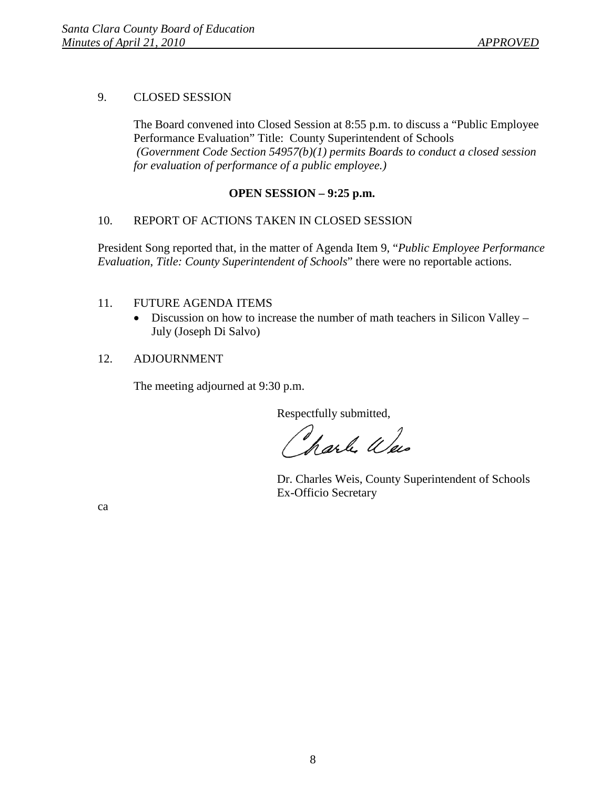## 9. CLOSED SESSION

The Board convened into Closed Session at 8:55 p.m. to discuss a "Public Employee Performance Evaluation" Title: County Superintendent of Schools *(Government Code Section 54957(b)(1) permits Boards to conduct a closed session for evaluation of performance of a public employee.)*

## **OPEN SESSION – 9:25 p.m.**

## 10. REPORT OF ACTIONS TAKEN IN CLOSED SESSION

President Song reported that, in the matter of Agenda Item 9, "*Public Employee Performance Evaluation*, *Title: County Superintendent of Schools*" there were no reportable actions.

## 11. FUTURE AGENDA ITEMS

• Discussion on how to increase the number of math teachers in Silicon Valley – July (Joseph Di Salvo)

### 12. ADJOURNMENT

The meeting adjourned at 9:30 p.m.

Respectfully submitted,

harle Weis

Dr. Charles Weis, County Superintendent of Schools Ex-Officio Secretary

ca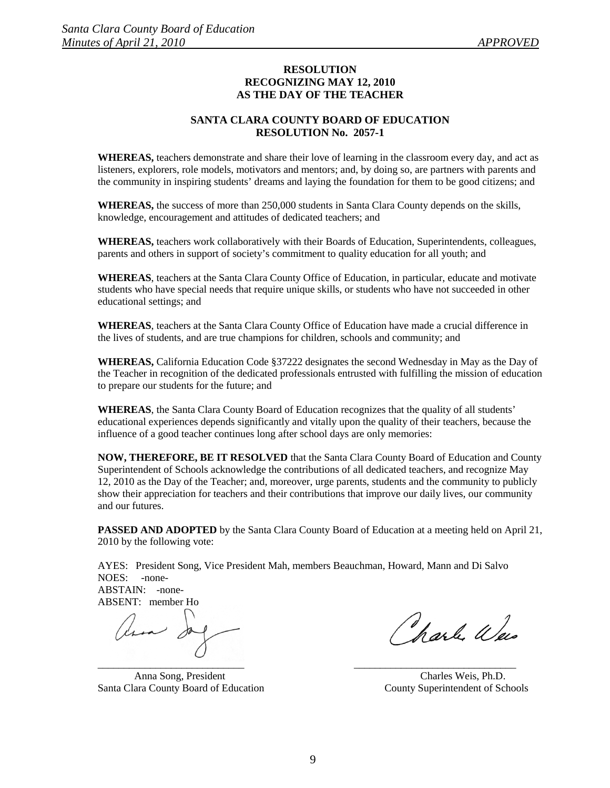#### **RESOLUTION RECOGNIZING MAY 12, 2010 AS THE DAY OF THE TEACHER**

#### **SANTA CLARA COUNTY BOARD OF EDUCATION RESOLUTION No. 2057-1**

**WHEREAS,** teachers demonstrate and share their love of learning in the classroom every day, and act as listeners, explorers, role models, motivators and mentors; and, by doing so, are partners with parents and the community in inspiring students' dreams and laying the foundation for them to be good citizens; and

**WHEREAS,** the success of more than 250,000 students in Santa Clara County depends on the skills, knowledge, encouragement and attitudes of dedicated teachers; and

**WHEREAS,** teachers work collaboratively with their Boards of Education, Superintendents, colleagues, parents and others in support of society's commitment to quality education for all youth; and

**WHEREAS**, teachers at the Santa Clara County Office of Education, in particular, educate and motivate students who have special needs that require unique skills, or students who have not succeeded in other educational settings; and

**WHEREAS**, teachers at the Santa Clara County Office of Education have made a crucial difference in the lives of students, and are true champions for children, schools and community; and

**WHEREAS,** California Education Code §37222 designates the second Wednesday in May as the Day of the Teacher in recognition of the dedicated professionals entrusted with fulfilling the mission of education to prepare our students for the future; and

**WHEREAS**, the Santa Clara County Board of Education recognizes that the quality of all students' educational experiences depends significantly and vitally upon the quality of their teachers, because the influence of a good teacher continues long after school days are only memories:

**NOW, THEREFORE, BE IT RESOLVED** that the Santa Clara County Board of Education and County Superintendent of Schools acknowledge the contributions of all dedicated teachers, and recognize May 12, 2010 as the Day of the Teacher; and, moreover, urge parents, students and the community to publicly show their appreciation for teachers and their contributions that improve our daily lives, our community and our futures.

**PASSED AND ADOPTED** by the Santa Clara County Board of Education at a meeting held on April 21, 2010 by the following vote:

AYES: President Song, Vice President Mah, members Beauchman, Howard, Mann and Di Salvo NOES: - none-ABSTAIN: -none-

ABSENT: member Ho

 $\blacksquare$ 

Anna Song, President Charles Weis, Ph.D. Santa Clara County Board of Education County Superintendent of Schools

harle Was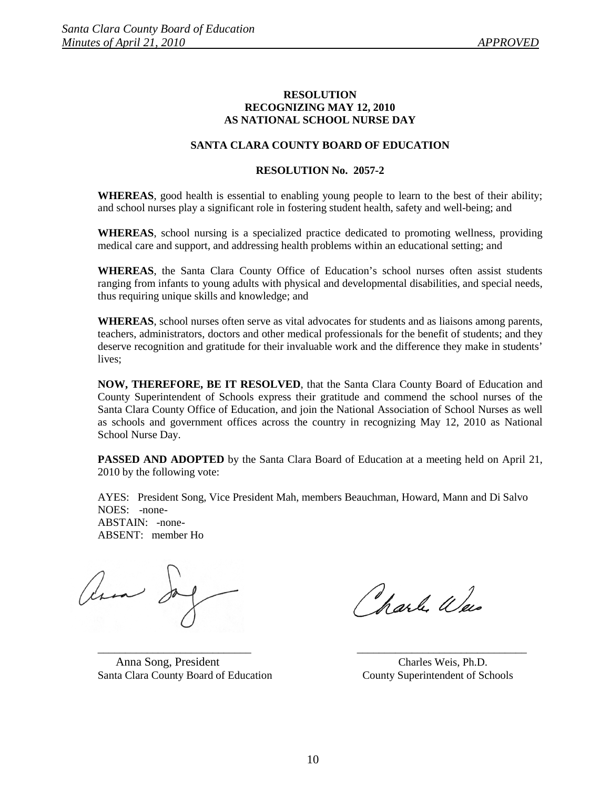#### **RESOLUTION RECOGNIZING MAY 12, 2010 AS NATIONAL SCHOOL NURSE DAY**

#### **SANTA CLARA COUNTY BOARD OF EDUCATION**

#### **RESOLUTION No. 2057-2**

**WHEREAS**, good health is essential to enabling young people to learn to the best of their ability; and school nurses play a significant role in fostering student health, safety and well-being; and

**WHEREAS**, school nursing is a specialized practice dedicated to promoting wellness, providing medical care and support, and addressing health problems within an educational setting; and

**WHEREAS**, the Santa Clara County Office of Education's school nurses often assist students ranging from infants to young adults with physical and developmental disabilities, and special needs, thus requiring unique skills and knowledge; and

**WHEREAS**, school nurses often serve as vital advocates for students and as liaisons among parents, teachers, administrators, doctors and other medical professionals for the benefit of students; and they deserve recognition and gratitude for their invaluable work and the difference they make in students' lives;

**NOW, THEREFORE, BE IT RESOLVED**, that the Santa Clara County Board of Education and County Superintendent of Schools express their gratitude and commend the school nurses of the Santa Clara County Office of Education, and join the National Association of School Nurses as well as schools and government offices across the country in recognizing May 12, 2010 as National School Nurse Day.

**PASSED AND ADOPTED** by the Santa Clara Board of Education at a meeting held on April 21, 2010 by the following vote:

AYES: President Song, Vice President Mah, members Beauchman, Howard, Mann and Di Salvo NOES: -none-ABSTAIN: -none-ABSENT: member Ho

les de

 Anna Song, President Charles Weis, Ph.D. Santa Clara County Board of Education County Superintendent of Schools

Wash Wes

\_\_\_\_\_\_\_\_\_\_\_\_\_\_\_\_\_\_\_\_\_\_\_\_\_\_\_\_ \_\_\_\_\_\_\_\_\_\_\_\_\_\_\_\_\_\_\_\_\_\_\_\_\_\_\_\_\_\_\_